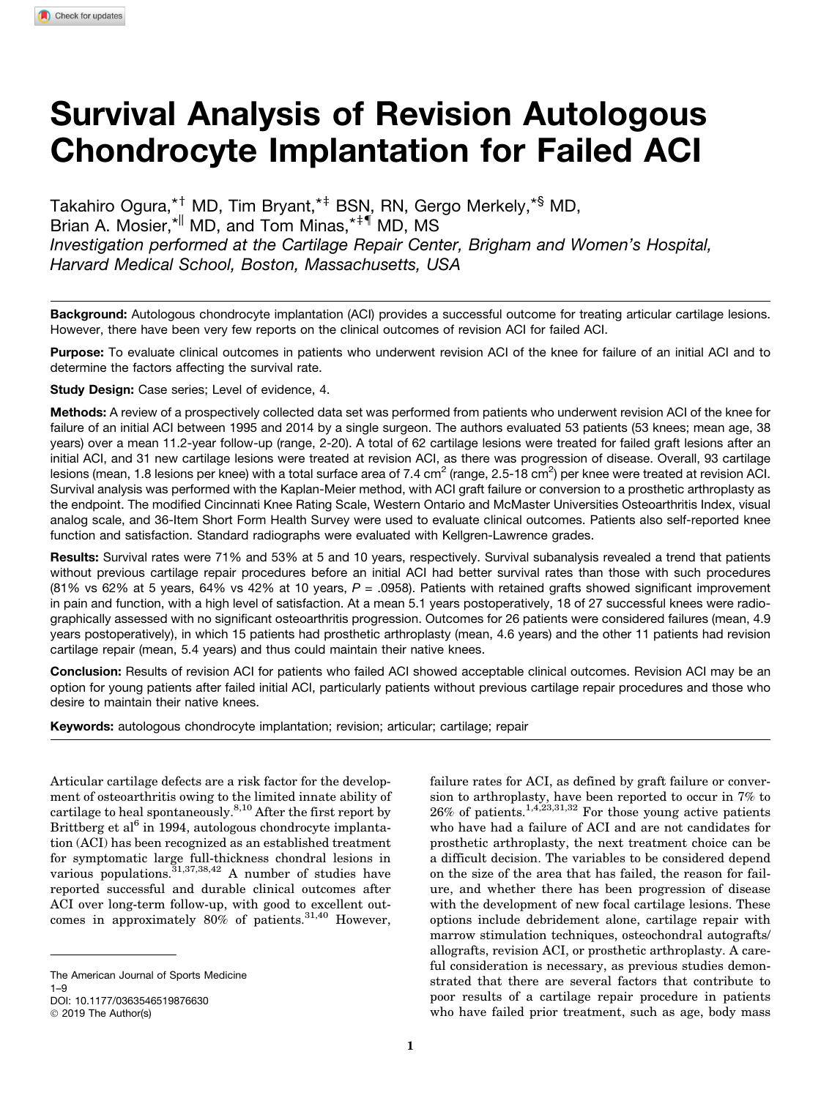# Survival Analysis of Revision Autologous Chondrocyte Implantation for Failed ACI

Takahiro Ogura,\*<sup>†</sup> MD, Tim Bryant,\*<sup>‡</sup> BSN, RN, Gergo Merkely,\*<sup>§</sup> MD, Brian A. Mosier, \* MD, and Tom Minas, \*\* I MD, MS *Investigation performed at the Cartilage Repair Center, Brigham and Women's Hospital, Harvard Medical School, Boston, Massachusetts, USA*

Background: Autologous chondrocyte implantation (ACI) provides a successful outcome for treating articular cartilage lesions. However, there have been very few reports on the clinical outcomes of revision ACI for failed ACI.

Purpose: To evaluate clinical outcomes in patients who underwent revision ACI of the knee for failure of an initial ACI and to determine the factors affecting the survival rate.

Study Design: Case series; Level of evidence, 4.

Methods: A review of a prospectively collected data set was performed from patients who underwent revision ACI of the knee for failure of an initial ACI between 1995 and 2014 by a single surgeon. The authors evaluated 53 patients (53 knees; mean age, 38 years) over a mean 11.2-year follow-up (range, 2-20). A total of 62 cartilage lesions were treated for failed graft lesions after an initial ACI, and 31 new cartilage lesions were treated at revision ACI, as there was progression of disease. Overall, 93 cartilage lesions (mean, 1.8 lesions per knee) with a total surface area of 7.4 cm $^2$  (range, 2.5-18 cm $^2$ ) per knee were treated at revision ACI. Survival analysis was performed with the Kaplan-Meier method, with ACI graft failure or conversion to a prosthetic arthroplasty as the endpoint. The modified Cincinnati Knee Rating Scale, Western Ontario and McMaster Universities Osteoarthritis Index, visual analog scale, and 36-Item Short Form Health Survey were used to evaluate clinical outcomes. Patients also self-reported knee function and satisfaction. Standard radiographs were evaluated with Kellgren-Lawrence grades.

Results: Survival rates were 71% and 53% at 5 and 10 years, respectively. Survival subanalysis revealed a trend that patients without previous cartilage repair procedures before an initial ACI had better survival rates than those with such procedures (81% vs 62% at 5 years, 64% vs 42% at 10 years, *P* = .0958). Patients with retained grafts showed significant improvement in pain and function, with a high level of satisfaction. At a mean 5.1 years postoperatively, 18 of 27 successful knees were radiographically assessed with no significant osteoarthritis progression. Outcomes for 26 patients were considered failures (mean, 4.9 years postoperatively), in which 15 patients had prosthetic arthroplasty (mean, 4.6 years) and the other 11 patients had revision cartilage repair (mean, 5.4 years) and thus could maintain their native knees.

Conclusion: Results of revision ACI for patients who failed ACI showed acceptable clinical outcomes. Revision ACI may be an option for young patients after failed initial ACI, particularly patients without previous cartilage repair procedures and those who desire to maintain their native knees.

Keywords: autologous chondrocyte implantation; revision; articular; cartilage; repair

Articular cartilage defects are a risk factor for the development of osteoarthritis owing to the limited innate ability of cartilage to heal spontaneously.<sup>8,10</sup> After the first report by Brittberg et al $^{6}$  in 1994, autologous chondrocyte implantation (ACI) has been recognized as an established treatment for symptomatic large full-thickness chondral lesions in various populations.<sup>31,37,38,42</sup> A number of studies have reported successful and durable clinical outcomes after ACI over long-term follow-up, with good to excellent outcomes in approximately  $80\%$  of patients.<sup>31,40</sup> However,

failure rates for ACI, as defined by graft failure or conversion to arthroplasty, have been reported to occur in 7% to  $26\%$  of patients.<sup>1,4,23,31,32</sup> For those young active patients who have had a failure of ACI and are not candidates for prosthetic arthroplasty, the next treatment choice can be a difficult decision. The variables to be considered depend on the size of the area that has failed, the reason for failure, and whether there has been progression of disease with the development of new focal cartilage lesions. These options include debridement alone, cartilage repair with marrow stimulation techniques, osteochondral autografts/ allografts, revision ACI, or prosthetic arthroplasty. A careful consideration is necessary, as previous studies demonstrated that there are several factors that contribute to poor results of a cartilage repair procedure in patients who have failed prior treatment, such as age, body mass

The American Journal of Sports Medicine 1–9

DOI: [10.1177/0363546519876630](https://doi.org/10.1177/0363546519876630)

<sup>© 2019</sup> The Author(s)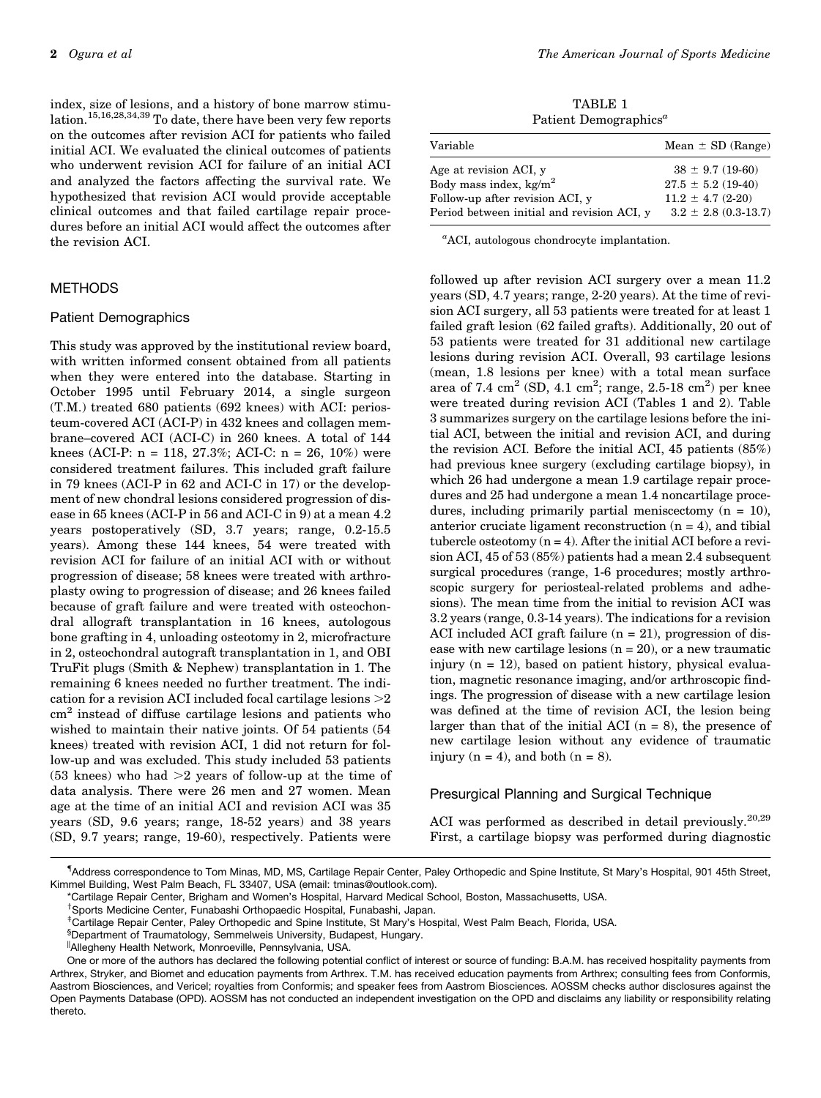index, size of lesions, and a history of bone marrow stimulation.15,16,28,34,39 To date, there have been very few reports on the outcomes after revision ACI for patients who failed initial ACI. We evaluated the clinical outcomes of patients who underwent revision ACI for failure of an initial ACI and analyzed the factors affecting the survival rate. We hypothesized that revision ACI would provide acceptable clinical outcomes and that failed cartilage repair procedures before an initial ACI would affect the outcomes after the revision ACI.

# METHODS

## Patient Demographics

This study was approved by the institutional review board, with written informed consent obtained from all patients when they were entered into the database. Starting in October 1995 until February 2014, a single surgeon (T.M.) treated 680 patients (692 knees) with ACI: periosteum-covered ACI (ACI-P) in 432 knees and collagen membrane–covered ACI (ACI-C) in 260 knees. A total of 144 knees (ACI-P:  $n = 118, 27.3\%$ ; ACI-C:  $n = 26, 10\%$ ) were considered treatment failures. This included graft failure in 79 knees (ACI-P in 62 and ACI-C in 17) or the development of new chondral lesions considered progression of disease in 65 knees (ACI-P in 56 and ACI-C in 9) at a mean 4.2 years postoperatively (SD, 3.7 years; range, 0.2-15.5 years). Among these 144 knees, 54 were treated with revision ACI for failure of an initial ACI with or without progression of disease; 58 knees were treated with arthroplasty owing to progression of disease; and 26 knees failed because of graft failure and were treated with osteochondral allograft transplantation in 16 knees, autologous bone grafting in 4, unloading osteotomy in 2, microfracture in 2, osteochondral autograft transplantation in 1, and OBI TruFit plugs (Smith & Nephew) transplantation in 1. The remaining 6 knees needed no further treatment. The indication for a revision ACI included focal cartilage lesions  $>2$ cm<sup>2</sup> instead of diffuse cartilage lesions and patients who wished to maintain their native joints. Of 54 patients (54 knees) treated with revision ACI, 1 did not return for follow-up and was excluded. This study included 53 patients (53 knees) who had  $>2$  years of follow-up at the time of data analysis. There were 26 men and 27 women. Mean age at the time of an initial ACI and revision ACI was 35 years (SD, 9.6 years; range, 18-52 years) and 38 years (SD, 9.7 years; range, 19-60), respectively. Patients were

TABLE 1 Patient Demographics<sup> $a$ </sup>

| Variable                                   | Mean $\pm$ SD (Range)    |
|--------------------------------------------|--------------------------|
| Age at revision ACI, y                     | $38 \pm 9.7$ (19-60)     |
| Body mass index, kg/m <sup>2</sup>         | $27.5 \pm 5.2$ (19-40)   |
| Follow-up after revision ACI, y            | $11.2 \pm 4.7 (2-20)$    |
| Period between initial and revision ACI, y | $3.2 \pm 2.8$ (0.3-13.7) |

a ACI, autologous chondrocyte implantation.

followed up after revision ACI surgery over a mean 11.2 years (SD, 4.7 years; range, 2-20 years). At the time of revision ACI surgery, all 53 patients were treated for at least 1 failed graft lesion (62 failed grafts). Additionally, 20 out of 53 patients were treated for 31 additional new cartilage lesions during revision ACI. Overall, 93 cartilage lesions (mean, 1.8 lesions per knee) with a total mean surface area of 7.4  $\text{cm}^2$  (SD, 4.1  $\text{cm}^2$ ; range, 2.5-18  $\text{cm}^2$ ) per knee were treated during revision ACI (Tables 1 and 2). Table 3 summarizes surgery on the cartilage lesions before the initial ACI, between the initial and revision ACI, and during the revision ACI. Before the initial ACI, 45 patients (85%) had previous knee surgery (excluding cartilage biopsy), in which 26 had undergone a mean 1.9 cartilage repair procedures and 25 had undergone a mean 1.4 noncartilage procedures, including primarily partial meniscectomy  $(n = 10)$ , anterior cruciate ligament reconstruction  $(n = 4)$ , and tibial tubercle osteotomy  $(n = 4)$ . After the initial ACI before a revision ACI, 45 of 53 (85%) patients had a mean 2.4 subsequent surgical procedures (range, 1-6 procedures; mostly arthroscopic surgery for periosteal-related problems and adhesions). The mean time from the initial to revision ACI was 3.2 years (range, 0.3-14 years). The indications for a revision ACI included ACI graft failure  $(n = 21)$ , progression of disease with new cartilage lesions  $(n = 20)$ , or a new traumatic injury  $(n = 12)$ , based on patient history, physical evaluation, magnetic resonance imaging, and/or arthroscopic findings. The progression of disease with a new cartilage lesion was defined at the time of revision ACI, the lesion being larger than that of the initial ACI  $(n = 8)$ , the presence of new cartilage lesion without any evidence of traumatic injury ( $n = 4$ ), and both ( $n = 8$ ).

## Presurgical Planning and Surgical Technique

ACI was performed as described in detail previously.<sup>20,29</sup> First, a cartilage biopsy was performed during diagnostic

<sup>{</sup> Address correspondence to Tom Minas, MD, MS, Cartilage Repair Center, Paley Orthopedic and Spine Institute, St Mary's Hospital, 901 45th Street, Kimmel Building, West Palm Beach, FL 33407, USA (email: tminas@outlook.com).

<sup>\*</sup>Cartilage Repair Center, Brigham and Women's Hospital, Harvard Medical School, Boston, Massachusetts, USA.

<sup>&</sup>lt;sup>†</sup>Sports Medicine Center, Funabashi Orthopaedic Hospital, Funabashi, Japan. <sup>‡</sup>Cartilage Repair Center, Paley Orthopedic and Spine Institute, St Mary's Hospital, West Palm Beach, Florida, USA.

<sup>§</sup> Department of Traumatology, Semmelweis University, Budapest, Hungary.

<sup>||</sup>Allegheny Health Network, Monroeville, Pennsylvania, USA.

One or more of the authors has declared the following potential conflict of interest or source of funding: B.A.M. has received hospitality payments from Arthrex, Stryker, and Biomet and education payments from Arthrex. T.M. has received education payments from Arthrex; consulting fees from Conformis, Aastrom Biosciences, and Vericel; royalties from Conformis; and speaker fees from Aastrom Biosciences. AOSSM checks author disclosures against the Open Payments Database (OPD). AOSSM has not conducted an independent investigation on the OPD and disclaims any liability or responsibility relating thereto.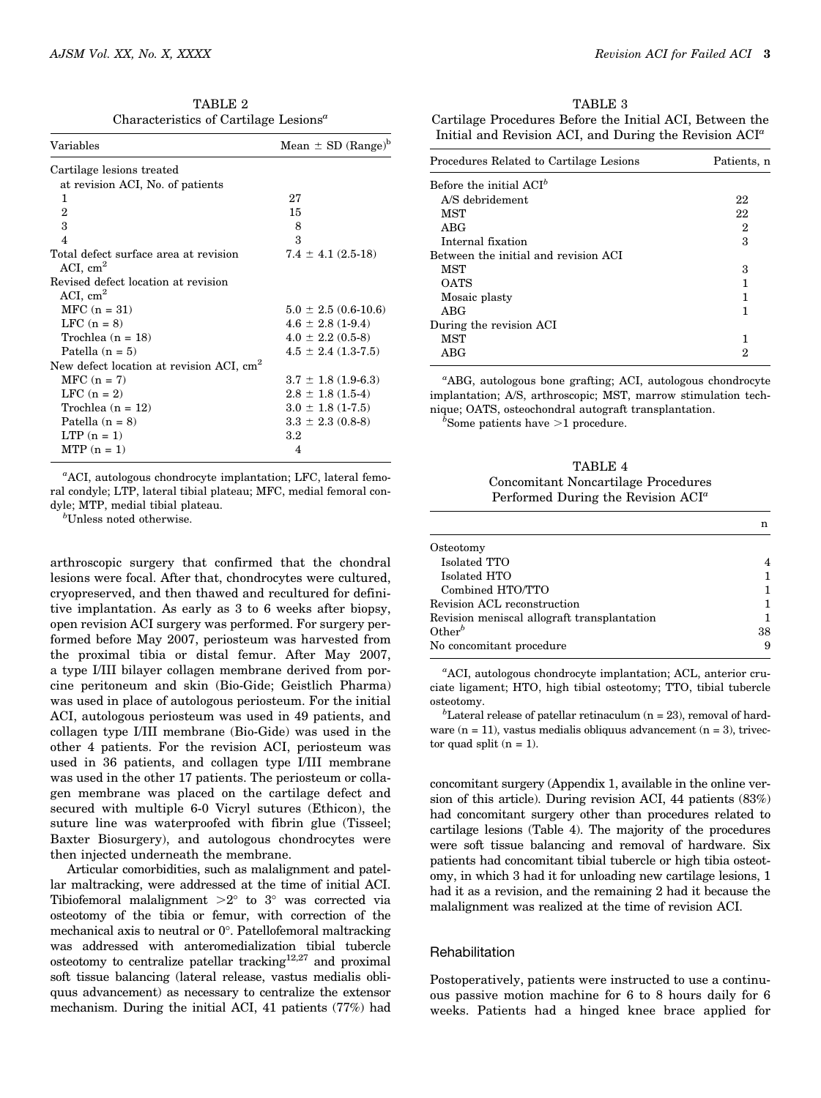|                                                   | TABLE 2 |  |
|---------------------------------------------------|---------|--|
| Characteristics of Cartilage Lesions <sup>a</sup> |         |  |

| Variables                                            | Mean $\pm$ SD (Range) <sup>b</sup> |
|------------------------------------------------------|------------------------------------|
| Cartilage lesions treated                            |                                    |
| at revision ACI, No. of patients                     |                                    |
| 1.                                                   | 27                                 |
| $\overline{2}$                                       | 15                                 |
| 3                                                    | 8                                  |
| $\overline{4}$                                       | 3                                  |
| Total defect surface area at revision                | $7.4 \pm 4.1$ (2.5-18)             |
| ACI, $cm2$                                           |                                    |
| Revised defect location at revision                  |                                    |
| ACI, $cm2$                                           |                                    |
| $MFC (n = 31)$                                       | $5.0 \pm 2.5$ (0.6-10.6)           |
| LFC $(n = 8)$                                        | $4.6 \pm 2.8$ (1-9.4)              |
| Trochlea $(n = 18)$                                  | $4.0 \pm 2.2$ (0.5-8)              |
| Patella $(n = 5)$                                    | $4.5 \pm 2.4$ (1.3-7.5)            |
| New defect location at revision ACI, cm <sup>2</sup> |                                    |
| $MFC (n = 7)$                                        | $3.7 \pm 1.8$ (1.9-6.3)            |
| LFC $(n = 2)$                                        | $2.8 \pm 1.8$ (1.5-4)              |
| Trochlea $(n = 12)$                                  | $3.0 \pm 1.8$ (1-7.5)              |
| Patella $(n = 8)$                                    | $3.3 \pm 2.3$ (0.8-8)              |
| $LTP(n = 1)$                                         | $3.2\,$                            |
| $MTP(n = 1)$                                         | 4                                  |
|                                                      |                                    |

a ACI, autologous chondrocyte implantation; LFC, lateral femoral condyle; LTP, lateral tibial plateau; MFC, medial femoral condyle; MTP, medial tibial plateau.

b Unless noted otherwise.

arthroscopic surgery that confirmed that the chondral lesions were focal. After that, chondrocytes were cultured, cryopreserved, and then thawed and recultured for definitive implantation. As early as 3 to 6 weeks after biopsy, open revision ACI surgery was performed. For surgery performed before May 2007, periosteum was harvested from the proximal tibia or distal femur. After May 2007, a type I/III bilayer collagen membrane derived from porcine peritoneum and skin (Bio-Gide; Geistlich Pharma) was used in place of autologous periosteum. For the initial ACI, autologous periosteum was used in 49 patients, and collagen type I/III membrane (Bio-Gide) was used in the other 4 patients. For the revision ACI, periosteum was used in 36 patients, and collagen type I/III membrane was used in the other 17 patients. The periosteum or collagen membrane was placed on the cartilage defect and secured with multiple 6-0 Vicryl sutures (Ethicon), the suture line was waterproofed with fibrin glue (Tisseel; Baxter Biosurgery), and autologous chondrocytes were then injected underneath the membrane.

Articular comorbidities, such as malalignment and patellar maltracking, were addressed at the time of initial ACI. Tibiofemoral malalignment  $>2^\circ$  to  $3^\circ$  was corrected via osteotomy of the tibia or femur, with correction of the mechanical axis to neutral or  $0^\circ$ . Patellofemoral maltracking was addressed with anteromedialization tibial tubercle osteotomy to centralize patellar tracking $12,27$  and proximal soft tissue balancing (lateral release, vastus medialis obliquus advancement) as necessary to centralize the extensor mechanism. During the initial ACI, 41 patients (77%) had

TABLE 3 Cartilage Procedures Before the Initial ACI, Between the Initial and Revision ACI, and During the Revision  $ACI^a$ 

| Procedures Related to Cartilage Lesions | Patients, n    |
|-----------------------------------------|----------------|
| Before the initial $ACI^b$              |                |
| A/S debridement                         | 22             |
| <b>MST</b>                              | 22             |
| ABG                                     | $\overline{2}$ |
| Internal fixation                       | 3              |
| Between the initial and revision ACI    |                |
| MST                                     | 3              |
| <b>OATS</b>                             |                |
| Mosaic plasty                           |                |
| ABG                                     |                |
| During the revision ACI                 |                |
| <b>MST</b>                              |                |
| ABG                                     | 2              |

<sup>a</sup>ABG, autologous bone grafting; ACI, autologous chondrocyte implantation; A/S, arthroscopic; MST, marrow stimulation technique; OATS, osteochondral autograft transplantation. <sup>b</sup>

 $b$ Some patients have  $>1$  procedure.

TABLE 4 Concomitant Noncartilage Procedures Performed During the Revision  $ACI^a$ 

| Osteotomy                                   |    |
|---------------------------------------------|----|
| Isolated TTO                                |    |
| Isolated HTO                                |    |
| Combined HTO/TTO                            |    |
| Revision ACL reconstruction                 |    |
| Revision meniscal allograft transplantation |    |
| Other <sup>b</sup>                          | 38 |
| No concomitant procedure                    |    |

a ACI, autologous chondrocyte implantation; ACL, anterior cruciate ligament; HTO, high tibial osteotomy; TTO, tibial tubercle osteotomy. <sup>b</sup>

 ${}^{b}$ Lateral release of patellar retinaculum (n = 23), removal of hardware  $(n = 11)$ , vastus medialis obliquus advancement  $(n = 3)$ , trivector quad split  $(n = 1)$ .

concomitant surgery [\(Appendix 1,](https://journals.sagepub.com/doi/suppl/10.1177/0363546519876630) available in the online version of this article). During revision ACI, 44 patients (83%) had concomitant surgery other than procedures related to cartilage lesions (Table 4). The majority of the procedures were soft tissue balancing and removal of hardware. Six patients had concomitant tibial tubercle or high tibia osteotomy, in which 3 had it for unloading new cartilage lesions, 1 had it as a revision, and the remaining 2 had it because the malalignment was realized at the time of revision ACI.

## Rehabilitation

Postoperatively, patients were instructed to use a continuous passive motion machine for 6 to 8 hours daily for 6 weeks. Patients had a hinged knee brace applied for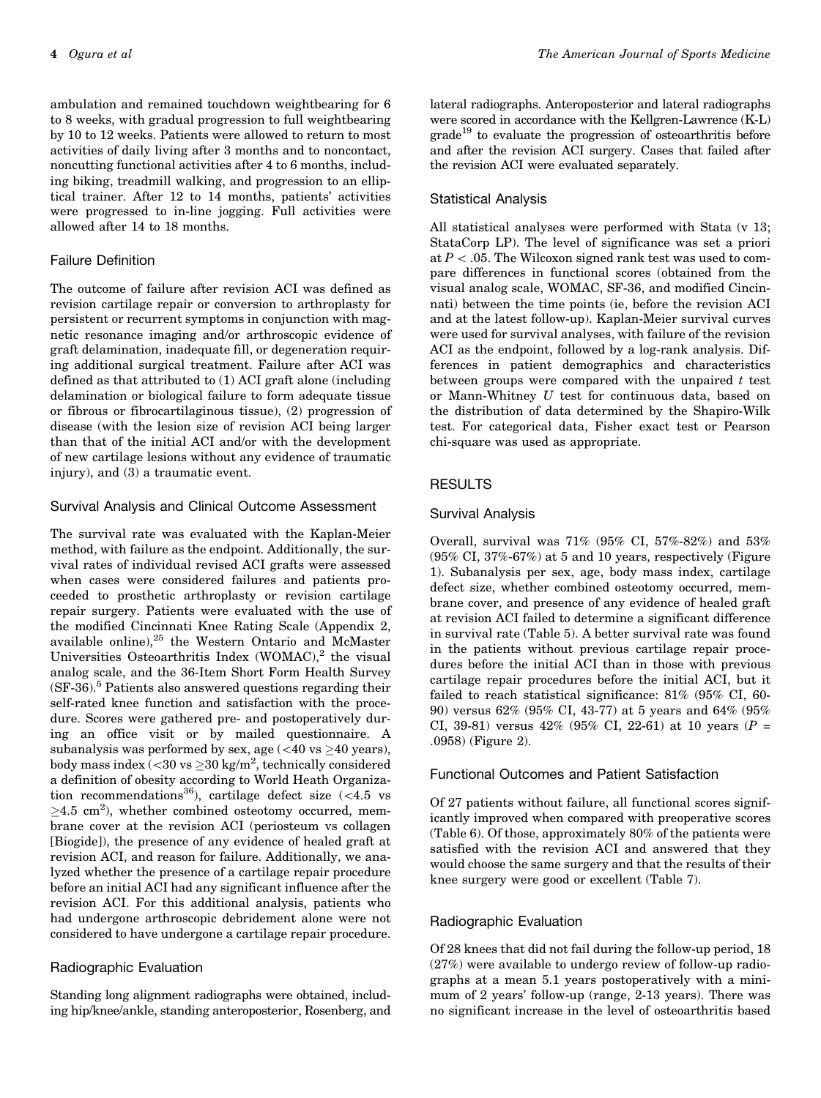ambulation and remained touchdown weightbearing for 6 to 8 weeks, with gradual progression to full weightbearing by 10 to 12 weeks. Patients were allowed to return to most activities of daily living after 3 months and to noncontact, noncutting functional activities after 4 to 6 months, including biking, treadmill walking, and progression to an elliptical trainer. After 12 to 14 months, patients' activities were progressed to in-line jogging. Full activities were allowed after 14 to 18 months.

# Failure Definition

The outcome of failure after revision ACI was defined as revision cartilage repair or conversion to arthroplasty for persistent or recurrent symptoms in conjunction with magnetic resonance imaging and/or arthroscopic evidence of graft delamination, inadequate fill, or degeneration requiring additional surgical treatment. Failure after ACI was defined as that attributed to (1) ACI graft alone (including delamination or biological failure to form adequate tissue or fibrous or fibrocartilaginous tissue), (2) progression of disease (with the lesion size of revision ACI being larger than that of the initial ACI and/or with the development of new cartilage lesions without any evidence of traumatic injury), and (3) a traumatic event.

# Survival Analysis and Clinical Outcome Assessment

The survival rate was evaluated with the Kaplan-Meier method, with failure as the endpoint. Additionally, the survival rates of individual revised ACI grafts were assessed when cases were considered failures and patients proceeded to prosthetic arthroplasty or revision cartilage repair surgery. Patients were evaluated with the use of the modified Cincinnati Knee Rating Scale ([Appendix 2](https://journals.sagepub.com/doi/suppl/10.1177/0363546519876630), available online),<sup>25</sup> the Western Ontario and McMaster Universities Osteoarthritis Index  $(WOMAC)<sup>2</sup>$  the visual analog scale, and the 36-Item Short Form Health Survey  $(SF-36).<sup>5</sup>$  Patients also answered questions regarding their self-rated knee function and satisfaction with the procedure. Scores were gathered pre- and postoperatively during an office visit or by mailed questionnaire. A subanalysis was performed by sex, age (<40 vs  $\geq$ 40 years), body mass index (<30 vs  ${\ge}30$  kg/m<sup>2</sup>, technically considered a definition of obesity according to World Heath Organization recommendations<sup>36</sup>), cartilage defect size  $\left(\langle 4.5 \rangle \right)$  $\geq$ 4.5 cm<sup>2</sup>), whether combined osteotomy occurred, membrane cover at the revision ACI (periosteum vs collagen [Biogide]), the presence of any evidence of healed graft at revision ACI, and reason for failure. Additionally, we analyzed whether the presence of a cartilage repair procedure before an initial ACI had any significant influence after the revision ACI. For this additional analysis, patients who had undergone arthroscopic debridement alone were not considered to have undergone a cartilage repair procedure.

## Radiographic Evaluation

Standing long alignment radiographs were obtained, including hip/knee/ankle, standing anteroposterior, Rosenberg, and lateral radiographs. Anteroposterior and lateral radiographs were scored in accordance with the Kellgren-Lawrence (K-L)  $grade<sup>19</sup>$  to evaluate the progression of osteoarthritis before and after the revision ACI surgery. Cases that failed after the revision ACI were evaluated separately.

# Statistical Analysis

All statistical analyses were performed with Stata (v 13; StataCorp LP). The level of significance was set a priori at  $P < 0.05$ . The Wilcoxon signed rank test was used to compare differences in functional scores (obtained from the visual analog scale, WOMAC, SF-36, and modified Cincinnati) between the time points (ie, before the revision ACI and at the latest follow-up). Kaplan-Meier survival curves were used for survival analyses, with failure of the revision ACI as the endpoint, followed by a log-rank analysis. Differences in patient demographics and characteristics between groups were compared with the unpaired  $t$  test or Mann-Whitney U test for continuous data, based on the distribution of data determined by the Shapiro-Wilk test. For categorical data, Fisher exact test or Pearson chi-square was used as appropriate.

# RESULTS

## Survival Analysis

Overall, survival was 71% (95% CI, 57%-82%) and 53% (95% CI, 37%-67%) at 5 and 10 years, respectively (Figure 1). Subanalysis per sex, age, body mass index, cartilage defect size, whether combined osteotomy occurred, membrane cover, and presence of any evidence of healed graft at revision ACI failed to determine a significant difference in survival rate (Table 5). A better survival rate was found in the patients without previous cartilage repair procedures before the initial ACI than in those with previous cartilage repair procedures before the initial ACI, but it failed to reach statistical significance: 81% (95% CI, 60- 90) versus 62% (95% CI, 43-77) at 5 years and 64% (95% CI, 39-81) versus 42% (95% CI, 22-61) at 10 years ( $P =$ .0958) (Figure 2).

#### Functional Outcomes and Patient Satisfaction

Of 27 patients without failure, all functional scores significantly improved when compared with preoperative scores (Table 6). Of those, approximately 80% of the patients were satisfied with the revision ACI and answered that they would choose the same surgery and that the results of their knee surgery were good or excellent (Table 7).

# Radiographic Evaluation

Of 28 knees that did not fail during the follow-up period, 18 (27%) were available to undergo review of follow-up radiographs at a mean 5.1 years postoperatively with a minimum of 2 years' follow-up (range, 2-13 years). There was no significant increase in the level of osteoarthritis based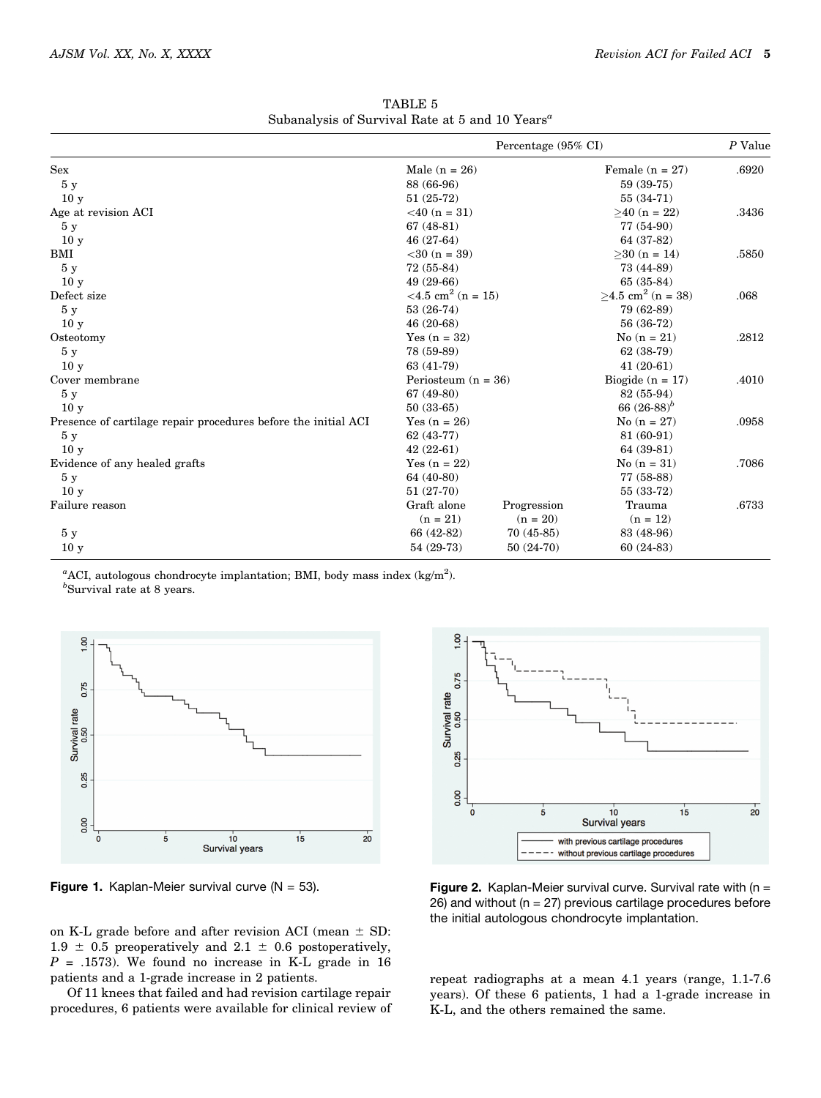|                                                                | Percentage (95% CI)              |             |                                     | P Value |
|----------------------------------------------------------------|----------------------------------|-------------|-------------------------------------|---------|
| Sex                                                            | Male $(n = 26)$                  |             | Female $(n = 27)$                   | .6920   |
| 5y                                                             | 88 (66-96)                       |             | 59 (39-75)                          |         |
| 10 <sub>y</sub>                                                | $51(25-72)$                      |             | $55(34-71)$                         |         |
| Age at revision ACI                                            | $<$ 40 (n = 31)                  |             | $>40$ (n = 22)                      | .3436   |
| 5y                                                             | $67(48-81)$                      |             | 77 (54-90)                          |         |
| 10 <sub>y</sub>                                                | $46(27-64)$                      |             | 64 (37-82)                          |         |
| BMI                                                            | $<$ 30 (n = 39)                  |             | $>30$ (n = 14)                      | .5850   |
| 5y                                                             | $72(55-84)$                      |             | 73 (44-89)                          |         |
| 10 <sub>y</sub>                                                | $49(29-66)$                      |             | $65(35-84)$                         |         |
| Defect size                                                    | $<$ 4.5 cm <sup>2</sup> (n = 15) |             | $\geq$ 4.5 cm <sup>2</sup> (n = 38) | .068    |
| 5y                                                             | $53(26-74)$                      |             | 79 (62-89)                          |         |
| 10 <sub>y</sub>                                                | $46(20-68)$                      |             | 56 (36-72)                          |         |
| Osteotomy                                                      | Yes $(n = 32)$                   |             | $No (n = 21)$                       | .2812   |
| 5y                                                             | 78 (59-89)                       |             | $62(38-79)$                         |         |
| 10 <sub>y</sub>                                                | 63 (41-79)                       |             | $41(20-61)$                         |         |
| Cover membrane                                                 | Periosteum ( $n = 36$ )          |             | Biogide $(n = 17)$                  | .4010   |
| 5y                                                             | $67(49-80)$                      |             | 82 (55-94)                          |         |
| 10 <sub>y</sub>                                                | $50(33-65)$                      |             | 66 $(26-88)^b$                      |         |
| Presence of cartilage repair procedures before the initial ACI | Yes $(n = 26)$                   |             | $No (n = 27)$                       | .0958   |
| 5y                                                             | $62(43-77)$                      |             | 81 (60-91)                          |         |
| 10 <sub>y</sub>                                                | $42(22-61)$                      |             | 64 (39-81)                          |         |
| Evidence of any healed grafts                                  | Yes $(n = 22)$                   |             | $No (n = 31)$                       | .7086   |
| 5y                                                             | 64 (40-80)                       |             | 77 (58-88)                          |         |
| 10 <sub>y</sub>                                                | $51(27-70)$                      |             | $55(33-72)$                         |         |
| Failure reason                                                 | Graft alone                      | Progression | Trauma                              | .6733   |
|                                                                | $(n = 21)$                       | $(n = 20)$  | $(n = 12)$                          |         |
| 5y                                                             | 66 (42-82)                       | $70(45-85)$ | 83 (48-96)                          |         |
| 10 <sub>y</sub>                                                | $54(29-73)$                      | $50(24-70)$ | $60(24-83)$                         |         |

TABLE 5 Subanalysis of Survival Rate at 5 and 10  $\text{Years}^a$ 

<sup>a</sup>ACI, autologous chondrocyte implantation; BMI, body mass index (kg/m<sup>2</sup>).  $<sup>b</sup>$ Survival rate at 8 years.</sup>



on K-L grade before and after revision ACI (mean  $\pm$  SD:  $1.9 \pm 0.5$  preoperatively and  $2.1 \pm 0.6$  postoperatively,  $P = .1573$ ). We found no increase in K-L grade in 16 patients and a 1-grade increase in 2 patients.

Of 11 knees that failed and had revision cartilage repair procedures, 6 patients were available for clinical review of



Figure 1. Kaplan-Meier survival curve  $(N = 53)$ . Figure 2. Kaplan-Meier survival curve. Survival rate with  $(n = 15)$ 26) and without ( $n = 27$ ) previous cartilage procedures before the initial autologous chondrocyte implantation.

repeat radiographs at a mean 4.1 years (range, 1.1-7.6 years). Of these 6 patients, 1 had a 1-grade increase in K-L, and the others remained the same.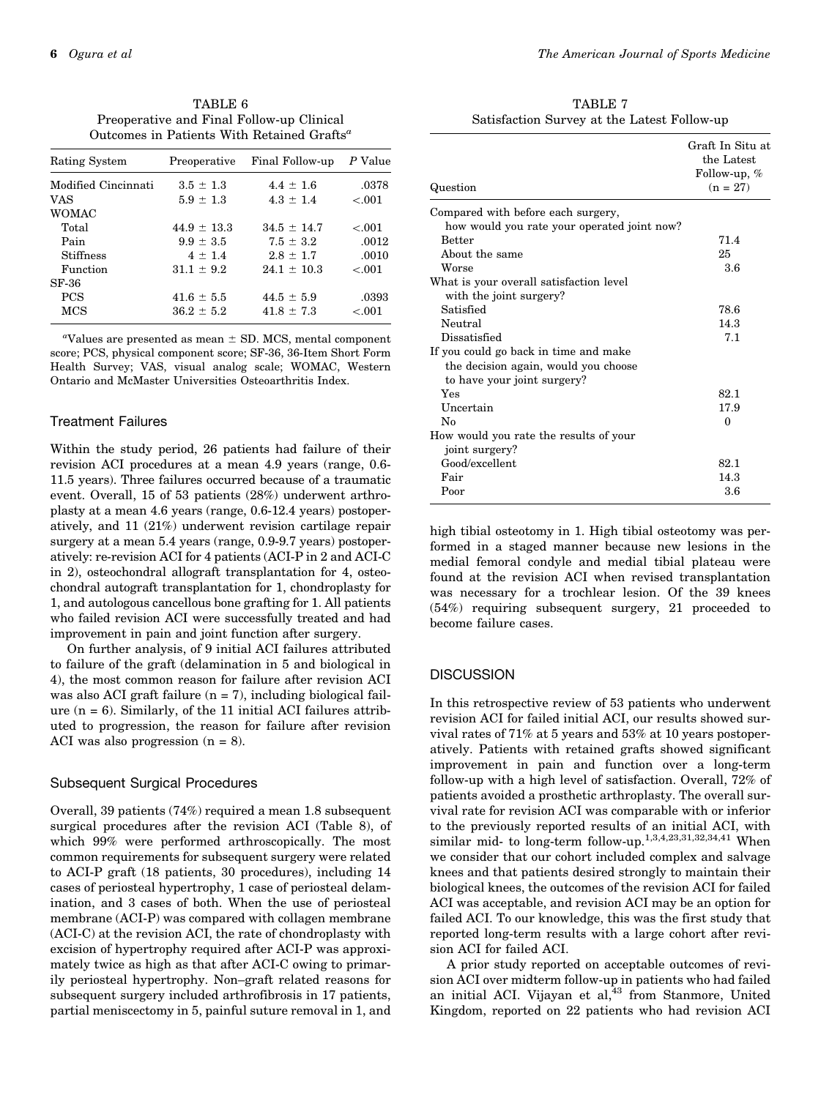| TABLE 6                                                |
|--------------------------------------------------------|
| Preoperative and Final Follow-up Clinical              |
| Outcomes in Patients With Retained Grafts <sup>a</sup> |

| Rating System       | Preoperative    | Final Follow-up | P Value |
|---------------------|-----------------|-----------------|---------|
| Modified Cincinnati | $3.5 \pm 1.3$   | $4.4 \pm 1.6$   | .0378   |
| <b>VAS</b>          | $5.9 \pm 1.3$   | $4.3 \pm 1.4$   | < 0.001 |
| <b>WOMAC</b>        |                 |                 |         |
| Total               | $44.9 \pm 13.3$ | $34.5 \pm 14.7$ | $-.001$ |
| Pain                | $9.9 \pm 3.5$   | $7.5 \pm 3.2$   | .0012   |
| <b>Stiffness</b>    | $4 \pm 1.4$     | $2.8 \pm 1.7$   | .0010   |
| Function            | $31.1 \pm 9.2$  | $24.1 \pm 10.3$ | $-.001$ |
| SF-36               |                 |                 |         |
| <b>PCS</b>          | $41.6 \pm 5.5$  | $44.5 \pm 5.9$  | .0393   |
| <b>MCS</b>          | $36.2 \pm 5.2$  | $41.8 \pm 7.3$  | $-.001$ |

"Values are presented as mean  $\pm$  SD. MCS, mental component score; PCS, physical component score; SF-36, 36-Item Short Form Health Survey; VAS, visual analog scale; WOMAC, Western Ontario and McMaster Universities Osteoarthritis Index.

# Treatment Failures

Within the study period, 26 patients had failure of their revision ACI procedures at a mean 4.9 years (range, 0.6- 11.5 years). Three failures occurred because of a traumatic event. Overall, 15 of 53 patients (28%) underwent arthroplasty at a mean 4.6 years (range, 0.6-12.4 years) postoperatively, and 11 (21%) underwent revision cartilage repair surgery at a mean 5.4 years (range, 0.9-9.7 years) postoperatively: re-revision ACI for 4 patients (ACI-P in 2 and ACI-C in 2), osteochondral allograft transplantation for 4, osteochondral autograft transplantation for 1, chondroplasty for 1, and autologous cancellous bone grafting for 1. All patients who failed revision ACI were successfully treated and had improvement in pain and joint function after surgery.

On further analysis, of 9 initial ACI failures attributed to failure of the graft (delamination in 5 and biological in 4), the most common reason for failure after revision ACI was also ACI graft failure  $(n = 7)$ , including biological failure  $(n = 6)$ . Similarly, of the 11 initial ACI failures attributed to progression, the reason for failure after revision ACI was also progression  $(n = 8)$ .

#### Subsequent Surgical Procedures

Overall, 39 patients (74%) required a mean 1.8 subsequent surgical procedures after the revision ACI (Table 8), of which 99% were performed arthroscopically. The most common requirements for subsequent surgery were related to ACI-P graft (18 patients, 30 procedures), including 14 cases of periosteal hypertrophy, 1 case of periosteal delamination, and 3 cases of both. When the use of periosteal membrane (ACI-P) was compared with collagen membrane (ACI-C) at the revision ACI, the rate of chondroplasty with excision of hypertrophy required after ACI-P was approximately twice as high as that after ACI-C owing to primarily periosteal hypertrophy. Non–graft related reasons for subsequent surgery included arthrofibrosis in 17 patients, partial meniscectomy in 5, painful suture removal in 1, and

TABLE 7 Satisfaction Survey at the Latest Follow-up

| Question                                                                                                     | Graft In Situ at<br>the Latest<br>Follow-up, $%$<br>$(n = 27)$ |
|--------------------------------------------------------------------------------------------------------------|----------------------------------------------------------------|
| Compared with before each surgery,                                                                           |                                                                |
| how would you rate your operated joint now?                                                                  |                                                                |
| <b>Better</b>                                                                                                | 71.4                                                           |
| About the same                                                                                               | 25                                                             |
| Worse                                                                                                        | 3.6                                                            |
| What is your overall satisfaction level<br>with the joint surgery?                                           |                                                                |
| Satisfied                                                                                                    | 78.6                                                           |
| Neutral                                                                                                      | 14.3                                                           |
| Dissatisfied                                                                                                 | 7.1                                                            |
| If you could go back in time and make<br>the decision again, would you choose<br>to have your joint surgery? |                                                                |
| Yes                                                                                                          | 82.1                                                           |
| Uncertain                                                                                                    | 17.9                                                           |
| $\rm N_0$                                                                                                    | $\Omega$                                                       |
| How would you rate the results of your<br>joint surgery?                                                     |                                                                |
| Good/excellent                                                                                               | 82.1                                                           |
| Fair                                                                                                         | 14.3                                                           |
| Poor                                                                                                         | 3.6                                                            |

high tibial osteotomy in 1. High tibial osteotomy was performed in a staged manner because new lesions in the medial femoral condyle and medial tibial plateau were found at the revision ACI when revised transplantation was necessary for a trochlear lesion. Of the 39 knees (54%) requiring subsequent surgery, 21 proceeded to become failure cases.

## **DISCUSSION**

In this retrospective review of 53 patients who underwent revision ACI for failed initial ACI, our results showed survival rates of 71% at 5 years and 53% at 10 years postoperatively. Patients with retained grafts showed significant improvement in pain and function over a long-term follow-up with a high level of satisfaction. Overall, 72% of patients avoided a prosthetic arthroplasty. The overall survival rate for revision ACI was comparable with or inferior to the previously reported results of an initial ACI, with similar mid- to long-term follow-up.<sup>1,3,4,23,31,32,34,41</sup> When we consider that our cohort included complex and salvage knees and that patients desired strongly to maintain their biological knees, the outcomes of the revision ACI for failed ACI was acceptable, and revision ACI may be an option for failed ACI. To our knowledge, this was the first study that reported long-term results with a large cohort after revision ACI for failed ACI.

A prior study reported on acceptable outcomes of revision ACI over midterm follow-up in patients who had failed an initial ACI. Vijayan et al,<sup>43</sup> from Stanmore, United Kingdom, reported on 22 patients who had revision ACI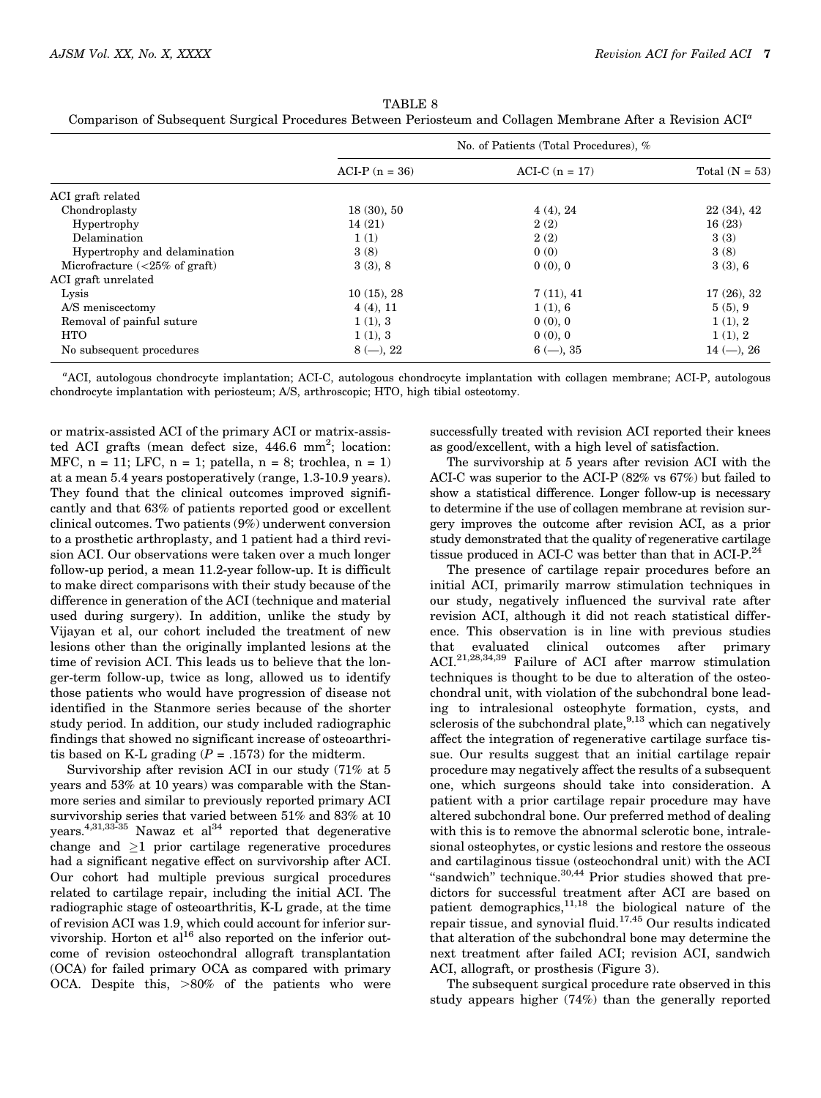|                                                 | No. of Patients (Total Procedures), % |                  |                  |
|-------------------------------------------------|---------------------------------------|------------------|------------------|
|                                                 | $ACI-P (n = 36)$                      | $ACI-C (n = 17)$ | Total $(N = 53)$ |
| ACI graft related                               |                                       |                  |                  |
| Chondroplasty                                   | 18(30), 50                            | 4(4), 24         | 22(34), 42       |
| Hypertrophy                                     | 14(21)                                | 2(2)             | 16(23)           |
| Delamination                                    | 1(1)                                  | 2(2)             | 3(3)             |
| Hypertrophy and delamination                    | 3(8)                                  | 0(0)             | 3(8)             |
| Microfracture $\left( < 25\% \right)$ of graft) | 3(3), 8                               | 0(0), 0          | 3(3), 6          |
| ACI graft unrelated                             |                                       |                  |                  |
| Lysis                                           | $10(15)$ , 28                         | 7(11), 41        | 17(26), 32       |
| A/S meniscectomy                                | $4(4)$ , 11                           | 1(1), 6          | 5(5), 9          |
| Removal of painful suture                       | 1(1), 3                               | 0(0), 0          | 1(1), 2          |
| <b>HTO</b>                                      | 1(1), 3                               | 0(0), 0          | 1(1), 2          |
| No subsequent procedures                        | $8(-), 22$                            | $6(-), 35$       | $14 (-)$ , 26    |

TABLE 8 Comparison of Subsequent Surgical Procedures Between Periosteum and Collagen Membrane After a Revision ACI<sup>a</sup>

a ACI, autologous chondrocyte implantation; ACI-C, autologous chondrocyte implantation with collagen membrane; ACI-P, autologous chondrocyte implantation with periosteum; A/S, arthroscopic; HTO, high tibial osteotomy.

or matrix-assisted ACI of the primary ACI or matrix-assisted ACI grafts (mean defect size, 446.6 mm<sup>2</sup>; location: MFC,  $n = 11$ ; LFC,  $n = 1$ ; patella,  $n = 8$ ; trochlea,  $n = 1$ ) at a mean 5.4 years postoperatively (range, 1.3-10.9 years). They found that the clinical outcomes improved significantly and that 63% of patients reported good or excellent clinical outcomes. Two patients (9%) underwent conversion to a prosthetic arthroplasty, and 1 patient had a third revision ACI. Our observations were taken over a much longer follow-up period, a mean 11.2-year follow-up. It is difficult to make direct comparisons with their study because of the difference in generation of the ACI (technique and material used during surgery). In addition, unlike the study by Vijayan et al, our cohort included the treatment of new lesions other than the originally implanted lesions at the time of revision ACI. This leads us to believe that the longer-term follow-up, twice as long, allowed us to identify those patients who would have progression of disease not identified in the Stanmore series because of the shorter study period. In addition, our study included radiographic findings that showed no significant increase of osteoarthritis based on K-L grading  $(P = .1573)$  for the midterm.

Survivorship after revision ACI in our study (71% at 5 years and 53% at 10 years) was comparable with the Stanmore series and similar to previously reported primary ACI survivorship series that varied between 51% and 83% at 10 years.<sup>4,31,33-35</sup> Nawaz et al<sup>34</sup> reported that degenerative change and  $\geq 1$  prior cartilage regenerative procedures had a significant negative effect on survivorship after ACI. Our cohort had multiple previous surgical procedures related to cartilage repair, including the initial ACI. The radiographic stage of osteoarthritis, K-L grade, at the time of revision ACI was 1.9, which could account for inferior survivorship. Horton et al<sup>16</sup> also reported on the inferior outcome of revision osteochondral allograft transplantation (OCA) for failed primary OCA as compared with primary OCA. Despite this,  $>80\%$  of the patients who were successfully treated with revision ACI reported their knees as good/excellent, with a high level of satisfaction.

The survivorship at 5 years after revision ACI with the ACI-C was superior to the ACI-P (82% vs 67%) but failed to show a statistical difference. Longer follow-up is necessary to determine if the use of collagen membrane at revision surgery improves the outcome after revision ACI, as a prior study demonstrated that the quality of regenerative cartilage tissue produced in ACI-C was better than that in ACI-P. $^{24}$ 

The presence of cartilage repair procedures before an initial ACI, primarily marrow stimulation techniques in our study, negatively influenced the survival rate after revision ACI, although it did not reach statistical difference. This observation is in line with previous studies evaluated clinical outcomes after primary ACI.21,28,34,39 Failure of ACI after marrow stimulation techniques is thought to be due to alteration of the osteochondral unit, with violation of the subchondral bone leading to intralesional osteophyte formation, cysts, and sclerosis of the subchondral plate,  $9,13$  which can negatively affect the integration of regenerative cartilage surface tissue. Our results suggest that an initial cartilage repair procedure may negatively affect the results of a subsequent one, which surgeons should take into consideration. A patient with a prior cartilage repair procedure may have altered subchondral bone. Our preferred method of dealing with this is to remove the abnormal sclerotic bone, intralesional osteophytes, or cystic lesions and restore the osseous and cartilaginous tissue (osteochondral unit) with the ACI "sandwich" technique.<sup>30,44</sup> Prior studies showed that predictors for successful treatment after ACI are based on patient demographics,<sup>11,18</sup> the biological nature of the repair tissue, and synovial fluid. $17,45$  Our results indicated that alteration of the subchondral bone may determine the next treatment after failed ACI; revision ACI, sandwich ACI, allograft, or prosthesis (Figure 3).

The subsequent surgical procedure rate observed in this study appears higher (74%) than the generally reported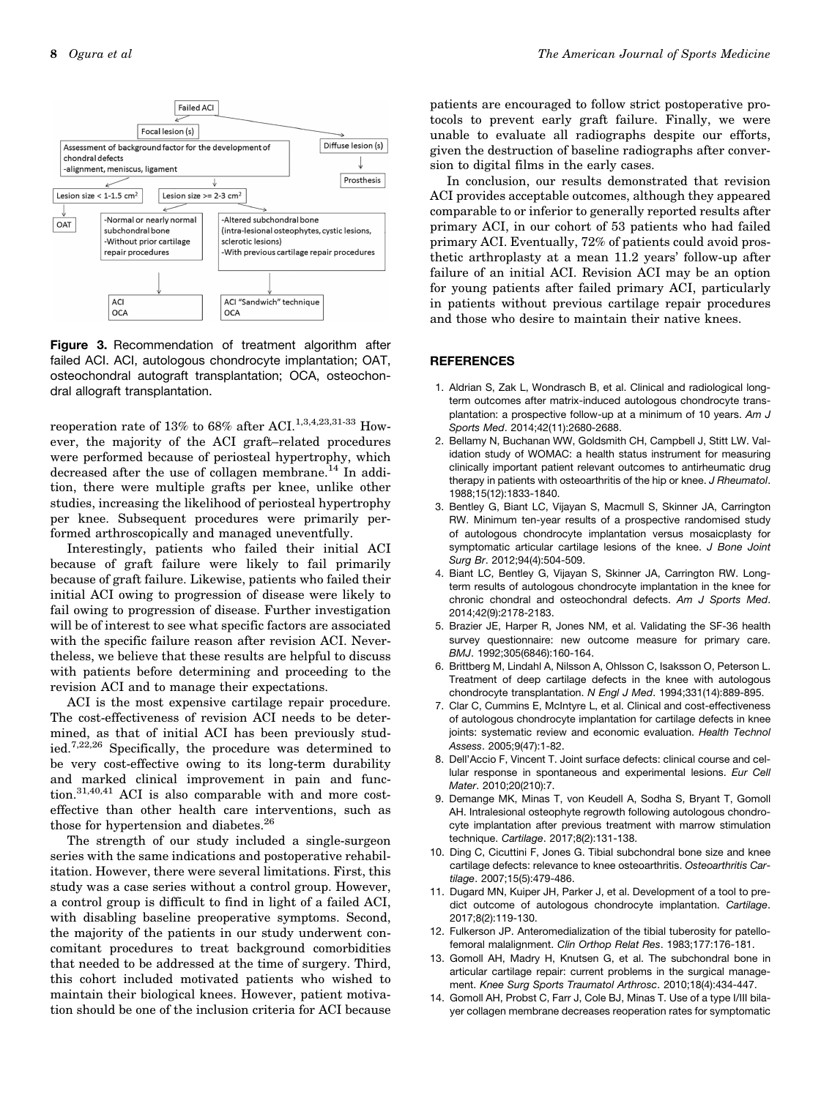

Figure 3. Recommendation of treatment algorithm after failed ACI. ACI, autologous chondrocyte implantation; OAT, osteochondral autograft transplantation; OCA, osteochondral allograft transplantation.

reoperation rate of 13% to 68% after ACI.<sup>1,3,4,23,31-33</sup> However, the majority of the ACI graft–related procedures were performed because of periosteal hypertrophy, which decreased after the use of collagen membrane.<sup>14</sup> In addition, there were multiple grafts per knee, unlike other studies, increasing the likelihood of periosteal hypertrophy per knee. Subsequent procedures were primarily performed arthroscopically and managed uneventfully.

Interestingly, patients who failed their initial ACI because of graft failure were likely to fail primarily because of graft failure. Likewise, patients who failed their initial ACI owing to progression of disease were likely to fail owing to progression of disease. Further investigation will be of interest to see what specific factors are associated with the specific failure reason after revision ACI. Nevertheless, we believe that these results are helpful to discuss with patients before determining and proceeding to the revision ACI and to manage their expectations.

ACI is the most expensive cartilage repair procedure. The cost-effectiveness of revision ACI needs to be determined, as that of initial ACI has been previously studied.7,22,26 Specifically, the procedure was determined to be very cost-effective owing to its long-term durability and marked clinical improvement in pain and function.31,40,41 ACI is also comparable with and more costeffective than other health care interventions, such as those for hypertension and diabetes.<sup>26</sup>

The strength of our study included a single-surgeon series with the same indications and postoperative rehabilitation. However, there were several limitations. First, this study was a case series without a control group. However, a control group is difficult to find in light of a failed ACI, with disabling baseline preoperative symptoms. Second, the majority of the patients in our study underwent concomitant procedures to treat background comorbidities that needed to be addressed at the time of surgery. Third, this cohort included motivated patients who wished to maintain their biological knees. However, patient motivation should be one of the inclusion criteria for ACI because patients are encouraged to follow strict postoperative protocols to prevent early graft failure. Finally, we were unable to evaluate all radiographs despite our efforts, given the destruction of baseline radiographs after conversion to digital films in the early cases.

In conclusion, our results demonstrated that revision ACI provides acceptable outcomes, although they appeared comparable to or inferior to generally reported results after primary ACI, in our cohort of 53 patients who had failed primary ACI. Eventually, 72% of patients could avoid prosthetic arthroplasty at a mean 11.2 years' follow-up after failure of an initial ACI. Revision ACI may be an option for young patients after failed primary ACI, particularly in patients without previous cartilage repair procedures and those who desire to maintain their native knees.

## **REFERENCES**

- 1. Aldrian S, Zak L, Wondrasch B, et al. Clinical and radiological longterm outcomes after matrix-induced autologous chondrocyte transplantation: a prospective follow-up at a minimum of 10 years. *Am J Sports Med*. 2014;42(11):2680-2688.
- 2. Bellamy N, Buchanan WW, Goldsmith CH, Campbell J, Stitt LW. Validation study of WOMAC: a health status instrument for measuring clinically important patient relevant outcomes to antirheumatic drug therapy in patients with osteoarthritis of the hip or knee. *J Rheumatol*. 1988;15(12):1833-1840.
- 3. Bentley G, Biant LC, Vijayan S, Macmull S, Skinner JA, Carrington RW. Minimum ten-year results of a prospective randomised study of autologous chondrocyte implantation versus mosaicplasty for symptomatic articular cartilage lesions of the knee. *J Bone Joint Surg Br*. 2012;94(4):504-509.
- 4. Biant LC, Bentley G, Vijayan S, Skinner JA, Carrington RW. Longterm results of autologous chondrocyte implantation in the knee for chronic chondral and osteochondral defects. *Am J Sports Med*. 2014;42(9):2178-2183.
- 5. Brazier JE, Harper R, Jones NM, et al. Validating the SF-36 health survey questionnaire: new outcome measure for primary care. *BMJ*. 1992;305(6846):160-164.
- 6. Brittberg M, Lindahl A, Nilsson A, Ohlsson C, Isaksson O, Peterson L. Treatment of deep cartilage defects in the knee with autologous chondrocyte transplantation. *N Engl J Med*. 1994;331(14):889-895.
- 7. Clar C, Cummins E, McIntyre L, et al. Clinical and cost-effectiveness of autologous chondrocyte implantation for cartilage defects in knee joints: systematic review and economic evaluation. *Health Technol Assess*. 2005;9(47):1-82.
- 8. Dell'Accio F, Vincent T. Joint surface defects: clinical course and cellular response in spontaneous and experimental lesions. *Eur Cell Mater*. 2010;20(210):7.
- 9. Demange MK, Minas T, von Keudell A, Sodha S, Bryant T, Gomoll AH. Intralesional osteophyte regrowth following autologous chondrocyte implantation after previous treatment with marrow stimulation technique. *Cartilage*. 2017;8(2):131-138.
- 10. Ding C, Cicuttini F, Jones G. Tibial subchondral bone size and knee cartilage defects: relevance to knee osteoarthritis. *Osteoarthritis Cartilage*. 2007;15(5):479-486.
- 11. Dugard MN, Kuiper JH, Parker J, et al. Development of a tool to predict outcome of autologous chondrocyte implantation. *Cartilage*. 2017;8(2):119-130.
- 12. Fulkerson JP. Anteromedialization of the tibial tuberosity for patellofemoral malalignment. *Clin Orthop Relat Res*. 1983;177:176-181.
- 13. Gomoll AH, Madry H, Knutsen G, et al. The subchondral bone in articular cartilage repair: current problems in the surgical management. *Knee Surg Sports Traumatol Arthrosc*. 2010;18(4):434-447.
- 14. Gomoll AH, Probst C, Farr J, Cole BJ, Minas T. Use of a type I/III bilayer collagen membrane decreases reoperation rates for symptomatic